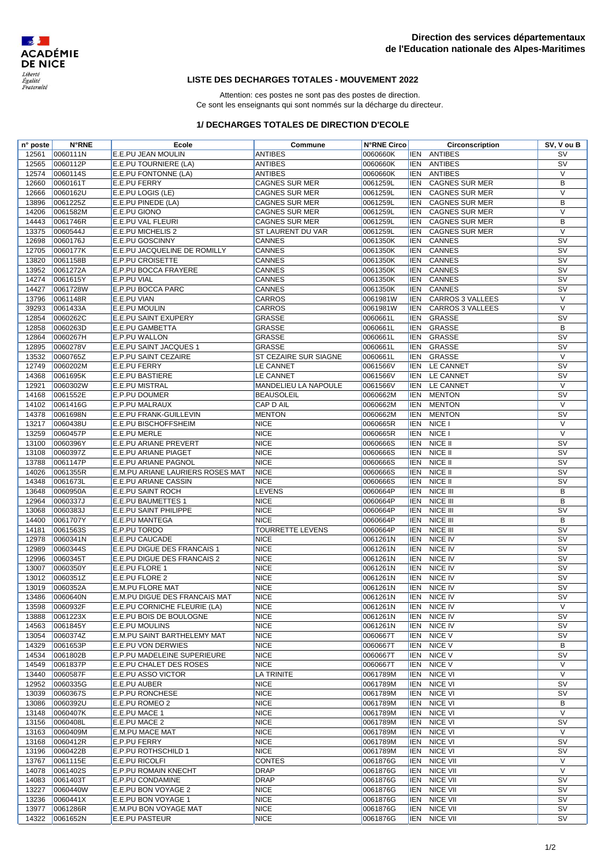

## **LISTE DES DECHARGES TOTALES - MOUVEMENT 2022**

Attention: ces postes ne sont pas des postes de direction. Ce sont les enseignants qui sont nommés sur la décharge du directeur.

## **1/ DECHARGES TOTALES DE DIRECTION D'ECOLE**

| n° poste | <b>N°RNE</b> | Ecole                            | Commune               | <b>N°RNE Circo</b> |            | Circonscription       | SV, V ou B               |
|----------|--------------|----------------------------------|-----------------------|--------------------|------------|-----------------------|--------------------------|
| 12561    | 0060111N     | E.E.PU JEAN MOULIN               | <b>ANTIBES</b>        | 0060660K           |            | IEN ANTIBES           | <b>SV</b>                |
| 12565    | 0060112P     | E.E.PU TOURNIERE (LA)            | <b>ANTIBES</b>        | 0060660K           | <b>IEN</b> | <b>ANTIBES</b>        | SV                       |
| 12574    | 0060114S     | E.E.PU FONTONNE (LA)             | <b>ANTIBES</b>        | 0060660K           | <b>IEN</b> | <b>ANTIBES</b>        | $\vee$                   |
| 12660    | 0060161T     | <b>E.E.PU FERRY</b>              | <b>CAGNES SUR MER</b> | 0061259L           | <b>IEN</b> | <b>CAGNES SUR MER</b> | В                        |
| 12666    | 0060162U     | E.E.PU LOGIS (LE)                | <b>CAGNES SUR MER</b> | 0061259L           | <b>IEN</b> | <b>CAGNES SUR MER</b> | $\vee$                   |
| 13896    | 0061225Z     | E.E.PU PINEDE (LA)               | <b>CAGNES SUR MER</b> | 0061259L           | <b>IEN</b> | <b>CAGNES SUR MER</b> | B                        |
| 14206    | 0061582M     | E.E.PU GIONO                     | <b>CAGNES SUR MER</b> | 0061259L           | <b>IEN</b> | <b>CAGNES SUR MER</b> | $\vee$                   |
| 14443    | 0061746R     | E.E.PU VAL FLEURI                | <b>CAGNES SUR MER</b> | 0061259L           | <b>IEN</b> | <b>CAGNES SUR MER</b> | В                        |
| 13375    | 0060544J     | E.E.PU MICHELIS 2                | ST LAURENT DU VAR     | 0061259L           | <b>IEN</b> | <b>CAGNES SUR MER</b> | $\vee$                   |
| 12698    | 0060176J     | <b>E.E.PU GOSCINNY</b>           | CANNES                | 0061350K           | <b>IEN</b> | CANNES                | $\overline{\mathsf{sv}}$ |
| 12705    | 0060177K     | E.E.PU JACQUELINE DE ROMILLY     | CANNES                | 0061350K           | <b>IEN</b> | CANNES                | $\overline{\mathsf{sv}}$ |
| 13820    | 0061158B     | <b>E.P.PU CROISETTE</b>          | CANNES                | 0061350K           | <b>IEN</b> | CANNES                | <b>SV</b>                |
| 13952    | 0061272A     | E.P.PU BOCCA FRAYERE             | CANNES                | 0061350K           | <b>IEN</b> | <b>CANNES</b>         | SV                       |
| 14274    | 0061615Y     | E.P.PU VIAL                      | CANNES                | 0061350K           | <b>IEN</b> | <b>CANNES</b>         | SV                       |
| 14427    | 0061728W     | E.P.PU BOCCA PARC                | CANNES                | 0061350K           | <b>IEN</b> | <b>CANNES</b>         | SV                       |
| 13796    | 0061148R     | E.E.PU VIAN                      | <b>CARROS</b>         | 0061981W           | <b>IEN</b> | CARROS 3 VALLEES      | $\vee$                   |
| 39293    | 0061433A     | <b>E.E.PU MOULIN</b>             | CARROS                | 0061981W           | <b>IEN</b> | CARROS 3 VALLEES      | $\vee$                   |
| 12854    | 0060262C     | E.E.PU SAINT EXUPERY             | GRASSE                | 0060661L           | <b>IEN</b> | GRASSE                | SV                       |
| 12858    | 0060263D     | E.E.PU GAMBETTA                  | GRASSE                | 0060661L           | <b>IEN</b> | GRASSE                | В                        |
| 12864    | 0060267H     | <b>E.P.PU WALLON</b>             | GRASSE                | 0060661L           | <b>IEN</b> | <b>GRASSE</b>         | SV                       |
| 12895    | 0060278V     | E.E.PU SAINT JACQUES 1           | <b>GRASSE</b>         | 0060661L           | <b>IEN</b> | GRASSE                | <b>SV</b>                |
| 13532    | 0060765Z     |                                  | ST CEZAIRE SUR SIAGNE |                    |            | <b>GRASSE</b>         | V                        |
|          |              | E.P.PU SAINT CEZAIRE             |                       | 0060661L           | <b>IEN</b> |                       |                          |
| 12749    | 0060202M     | <b>E.E.PU FERRY</b>              | <b>LE CANNET</b>      | 0061566V           | <b>IEN</b> | LE CANNET             | SV                       |
| 14368    | 0061695K     | <b>E.E.PU BASTIERE</b>           | <b>LE CANNET</b>      | 0061566V           | <b>IEN</b> | LE CANNET             | SV                       |
| 12921    | 0060302W     | <b>E.E.PU MISTRAL</b>            | MANDELIEU LA NAPOULE  | 0061566V           | <b>IEN</b> | LE CANNET             | $\vee$                   |
| 14168    | 0061552E     | <b>E.P.PU DOUMER</b>             | <b>BEAUSOLEIL</b>     | 0060662M           | <b>IEN</b> | <b>MENTON</b>         | SV                       |
| 14102    | 0061416G     | <b>E.P.PU MALRAUX</b>            | CAP D AIL             | 0060662M           | <b>IEN</b> | <b>MENTON</b>         | $\vee$                   |
| 14378    | 0061698N     | E.E.PU FRANK-GUILLEVIN           | <b>MENTON</b>         | 0060662M           | <b>IEN</b> | <b>MENTON</b>         | $\overline{\mathsf{sv}}$ |
| 13217    | 0060438U     | <b>E.E.PU BISCHOFFSHEIM</b>      | <b>NICE</b>           | 0060665R           | <b>IEN</b> | NICE I                | $\vee$                   |
| 13259    | 0060457P     | E.E.PU MERLE                     | <b>NICE</b>           | 0060665R           | <b>IEN</b> | NICE I                | $\vee$                   |
| 13100    | 0060396Y     | E.E.PU ARIANE PREVERT            | <b>NICE</b>           | 0060666S           | <b>IEN</b> | NICE II               | SV                       |
| 13108    | 0060397Z     | <b>E.E.PU ARIANE PIAGET</b>      | <b>NICE</b>           | 0060666S           | <b>IEN</b> | NICE II               | SV                       |
| 13788    | 0061147P     | E.E.PU ARIANE PAGNOL             | <b>NICE</b>           | 0060666S           | <b>IEN</b> | NICE II               | SV                       |
| 14026    | 0061355R     | E.M.PU ARIANE LAURIERS ROSES MAT | <b>NICE</b>           | 0060666S           | <b>IEN</b> | NICE II               | SV                       |
| 14348    | 0061673L     | E.E.PU ARIANE CASSIN             | <b>NICE</b>           | 0060666S           | <b>IEN</b> | NICE II               | SV                       |
| 13648    | 0060950A     | <b>E.E.PU SAINT ROCH</b>         | LEVENS                | 0060664P           | <b>IEN</b> | NICE III              | B                        |
| 12964    | 0060337J     | E.E.PU BAUMETTES 1               | <b>NICE</b>           | 0060664P           | <b>IEN</b> | NICE III              | B                        |
| 13068    | 0060383J     | <b>E.E.PU SAINT PHILIPPE</b>     | <b>NICE</b>           | 0060664P           | <b>IEN</b> | NICE III              | SV                       |
| 14400    | 0061707Y     | E.E.PU MANTEGA                   | <b>NICE</b>           | 0060664P           | <b>IEN</b> | NICE III              | B                        |
| 14181    | 0061563S     | E.P.PU TORDO                     | TOURRETTE LEVENS      | 0060664P           | <b>IEN</b> | NICE III              | SV                       |
| 12978    | 0060341N     | <b>E.E.PU CAUCADE</b>            | <b>NICE</b>           | 0061261N           | <b>IEN</b> | NICE IV               | SV                       |
| 12989    | 0060344S     | E.E.PU DIGUE DES FRANCAIS 1      | <b>NICE</b>           | 0061261N           | <b>IEN</b> | NICE IV               | SV                       |
| 12996    | 0060345T     | E.E.PU DIGUE DES FRANCAIS 2      | <b>NICE</b>           | 0061261N           | <b>IEN</b> | NICE IV               | SV                       |
| 13007    |              | E.E.PU FLORE 1                   |                       |                    |            |                       | SV                       |
|          | 0060350Y     |                                  | <b>NICE</b>           | 0061261N           | <b>IEN</b> | NICE IV               |                          |
| 13012    | 0060351Z     | E.E.PU FLORE 2                   | <b>NICE</b>           | 0061261N           | <b>IEN</b> | NICE IV               | SV                       |
| 13019    | 0060352A     | <b>E.M.PU FLORE MAT</b>          | <b>NICE</b>           | 0061261N           | <b>IEN</b> | <b>NICE IV</b>        | SV                       |
| 13486    | 0060640N     | E.M.PU DIGUE DES FRANCAIS MAT    | <b>NICE</b>           | 0061261N           |            | <b>IEN NICE IV</b>    | SV                       |
| 13598    | 0060932F     | E.E.PU CORNICHE FLEURIE (LA)     | <b>NICE</b>           | 0061261N           |            | <b>IEN NICE IV</b>    | V                        |
| 13888    | 0061223X     | E.E.PU BOIS DE BOULOGNE          | <b>NICE</b>           | 0061261N           | <b>IEN</b> | NICE IV               | SV                       |
| 14563    | 0061845Y     | <b>E.E.PU MOULINS</b>            | <b>NICE</b>           | 0061261N           | <b>IEN</b> | NICE IV               | SV                       |
| 13054    | 0060374Z     | E.M.PU SAINT BARTHELEMY MAT      | <b>NICE</b>           | 0060667T           | <b>IEN</b> | NICE V                | SV                       |
| 14329    | 0061653P     | E.E.PU VON DERWIES               | <b>NICE</b>           | 0060667T           | <b>IEN</b> | NICE V                | B                        |
| 14534    | 0061802B     | E.P.PU MADELEINE SUPERIEURE      | <b>NICE</b>           | 0060667T           | <b>IEN</b> | NICE V                | SV                       |
| 14549    | 0061837P     | E.E.PU CHALET DES ROSES          | <b>NICE</b>           | 0060667T           | <b>IEN</b> | NICE V                | $\vee$                   |
| 13440    | 0060587F     | <b>E.E.PU ASSO VICTOR</b>        | LA TRINITE            | 0061789M           | <b>IEN</b> | NICE VI               | $\vee$                   |
| 12952    | 0060335G     | E.E.PU AUBER                     | <b>NICE</b>           | 0061789M           | <b>IEN</b> | NICE VI               | SV                       |
| 13039    | 0060367S     | <b>E.P.PU RONCHESE</b>           | <b>NICE</b>           | 0061789M           | <b>IEN</b> | <b>NICE VI</b>        | SV                       |
| 13086    | 0060392U     | E.E.PU ROMEO 2                   | <b>NICE</b>           | 0061789M           | <b>IEN</b> | NICE VI               | B                        |
| 13148    | 0060407K     | E.E.PU MACE 1                    | <b>NICE</b>           | 0061789M           | <b>IEN</b> | <b>NICE VI</b>        | $\vee$                   |
| 13156    | 0060408L     | E.E.PU MACE 2                    | <b>NICE</b>           | 0061789M           | <b>IEN</b> | NICE VI               | SV                       |
| 13163    | 0060409M     | <b>E.M.PU MACE MAT</b>           | <b>NICE</b>           | 0061789M           | <b>IEN</b> | NICE VI               | $\vee$                   |
| 13168    | 0060412R     | E.P.PU FERRY                     | <b>NICE</b>           | 0061789M           | <b>IEN</b> | <b>NICE VI</b>        | SV                       |
| 13196    | 0060422B     | <b>E.P.PU ROTHSCHILD 1</b>       | <b>NICE</b>           | 0061789M           | <b>IEN</b> | <b>NICE VI</b>        | SV                       |
| 13767    | 0061115E     | <b>E.E.PU RICOLFI</b>            | CONTES                | 0061876G           | <b>IEN</b> | <b>NICE VII</b>       | $\vee$                   |
| 14078    | 0061402S     | <b>E.P.PU ROMAIN KNECHT</b>      | <b>DRAP</b>           | 0061876G           | <b>IEN</b> | <b>NICE VII</b>       | $\vee$                   |
| 14083    | 0061403T     | <b>E.P.PU CONDAMINE</b>          | <b>DRAP</b>           | 0061876G           | <b>IEN</b> | <b>NICE VII</b>       | SV                       |
| 13227    | 0060440W     | E.E.PU BON VOYAGE 2              | <b>NICE</b>           | 0061876G           | <b>IEN</b> | <b>NICE VII</b>       | SV                       |
|          | 0060441X     | E.E.PU BON VOYAGE 1              | <b>NICE</b>           | 0061876G           | <b>IEN</b> | <b>NICE VII</b>       | SV                       |
| 13236    |              |                                  |                       |                    |            |                       | <b>SV</b>                |
| 13977    | 0061286R     | E.M.PU BON VOYAGE MAT            | <b>NICE</b>           | 0061876G           | <b>IEN</b> | <b>NICE VII</b>       |                          |
| 14322    | 0061652N     | <b>E.E.PU PASTEUR</b>            | <b>NICE</b>           | 0061876G           | <b>IEN</b> | <b>NICE VII</b>       | SV                       |